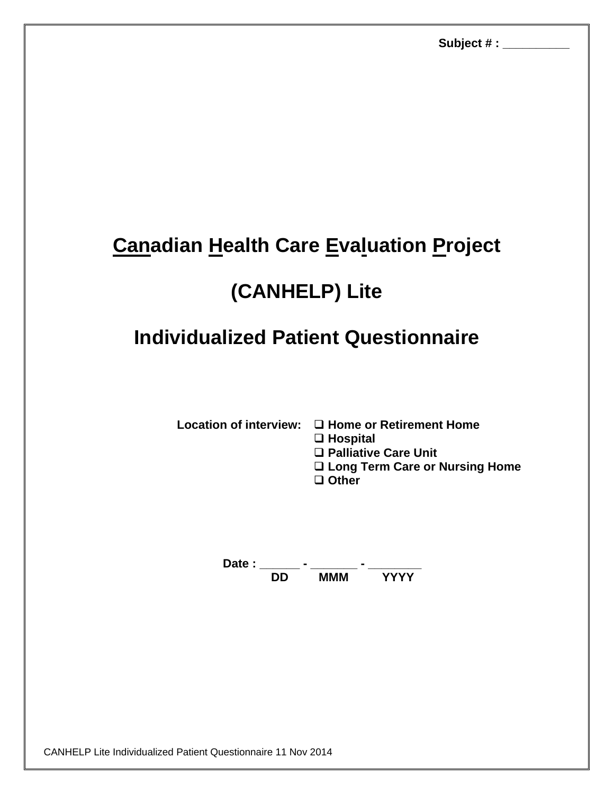## **Canadian Health Care Evaluation Project**

## **(CANHELP) Lite**

## **Individualized Patient Questionnaire**

**Location of interview: □ Home or Retirement Home** 

**Hospital**

**Palliative Care Unit** 

**Long Term Care or Nursing Home** 

**Other**

Date : \_\_\_\_\_\_\_ - \_\_\_\_\_\_\_\_ - \_\_\_\_\_\_\_\_\_\_ **DD MMM YYYY**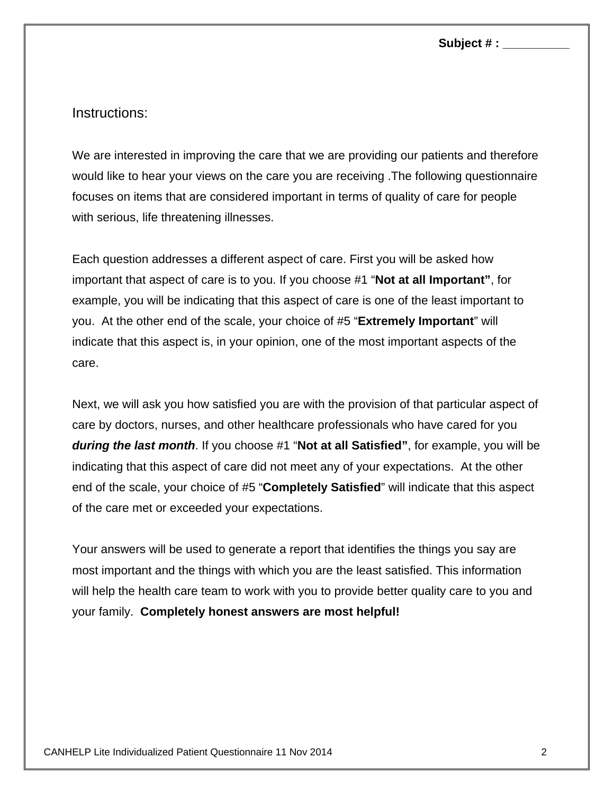## Instructions:

We are interested in improving the care that we are providing our patients and therefore would like to hear your views on the care you are receiving .The following questionnaire focuses on items that are considered important in terms of quality of care for people with serious, life threatening illnesses.

Each question addresses a different aspect of care. First you will be asked how important that aspect of care is to you. If you choose #1 "**Not at all Important"**, for example, you will be indicating that this aspect of care is one of the least important to you. At the other end of the scale, your choice of #5 "**Extremely Important**" will indicate that this aspect is, in your opinion, one of the most important aspects of the care.

Next, we will ask you how satisfied you are with the provision of that particular aspect of care by doctors, nurses, and other healthcare professionals who have cared for you *during the last month*. If you choose #1 "**Not at all Satisfied"**, for example, you will be indicating that this aspect of care did not meet any of your expectations. At the other end of the scale, your choice of #5 "**Completely Satisfied**" will indicate that this aspect of the care met or exceeded your expectations.

Your answers will be used to generate a report that identifies the things you say are most important and the things with which you are the least satisfied. This information will help the health care team to work with you to provide better quality care to you and your family. **Completely honest answers are most helpful!**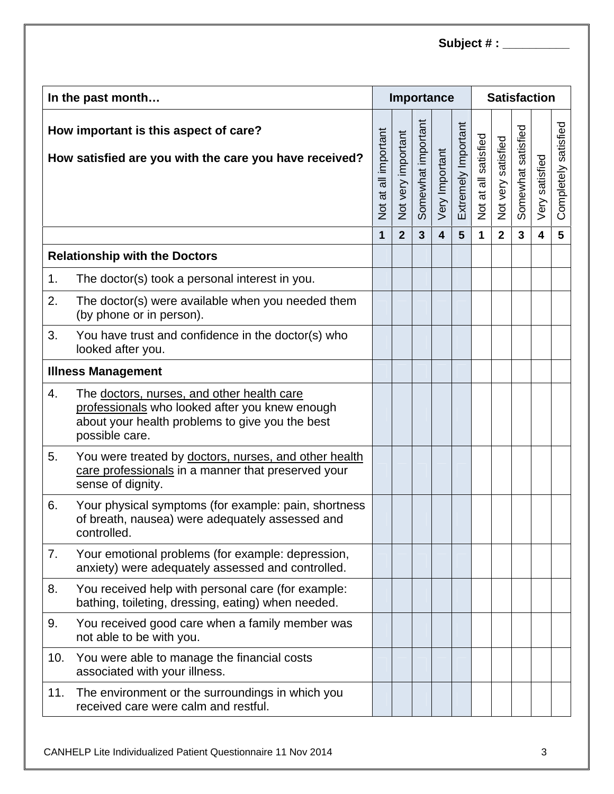| In the past month                                                                               |                                                                                                                                                                   |                      |                    |                    | Importance              |                     | <b>Satisfaction</b>  |                    |                    |                         |                      |  |
|-------------------------------------------------------------------------------------------------|-------------------------------------------------------------------------------------------------------------------------------------------------------------------|----------------------|--------------------|--------------------|-------------------------|---------------------|----------------------|--------------------|--------------------|-------------------------|----------------------|--|
| How important is this aspect of care?<br>How satisfied are you with the care you have received? |                                                                                                                                                                   | Not at all important | Not very important | Somewhat important | Very Important          | Extremely Important | Not at all satisfied | Not very satisfied | Somewhat satisfied | Very satisfied          | Completely satisfied |  |
|                                                                                                 |                                                                                                                                                                   | 1                    | $\overline{2}$     | $\overline{3}$     | $\overline{\mathbf{4}}$ | 5                   | 1                    | $\overline{2}$     | $\mathbf{3}$       | $\overline{\mathbf{4}}$ | $5\phantom{1}$       |  |
| <b>Relationship with the Doctors</b>                                                            |                                                                                                                                                                   |                      |                    |                    |                         |                     |                      |                    |                    |                         |                      |  |
| 1.                                                                                              | The doctor(s) took a personal interest in you.                                                                                                                    |                      |                    |                    |                         |                     |                      |                    |                    |                         |                      |  |
| 2.                                                                                              | The doctor(s) were available when you needed them<br>(by phone or in person).                                                                                     |                      |                    |                    |                         |                     |                      |                    |                    |                         |                      |  |
| 3.                                                                                              | You have trust and confidence in the doctor(s) who<br>looked after you.                                                                                           |                      |                    |                    |                         |                     |                      |                    |                    |                         |                      |  |
| <b>Illness Management</b>                                                                       |                                                                                                                                                                   |                      |                    |                    |                         |                     |                      |                    |                    |                         |                      |  |
| 4.                                                                                              | The doctors, nurses, and other health care<br>professionals who looked after you knew enough<br>about your health problems to give you the best<br>possible care. |                      |                    |                    |                         |                     |                      |                    |                    |                         |                      |  |
| 5.                                                                                              | You were treated by doctors, nurses, and other health<br>care professionals in a manner that preserved your<br>sense of dignity.                                  |                      |                    |                    |                         |                     |                      |                    |                    |                         |                      |  |
| 6.                                                                                              | Your physical symptoms (for example: pain, shortness<br>of breath, nausea) were adequately assessed and<br>controlled.                                            |                      |                    |                    |                         |                     |                      |                    |                    |                         |                      |  |
| 7.                                                                                              | Your emotional problems (for example: depression,<br>anxiety) were adequately assessed and controlled.                                                            |                      |                    |                    |                         |                     |                      |                    |                    |                         |                      |  |
| 8.                                                                                              | You received help with personal care (for example:<br>bathing, toileting, dressing, eating) when needed.                                                          |                      |                    |                    |                         |                     |                      |                    |                    |                         |                      |  |
| 9.                                                                                              | You received good care when a family member was<br>not able to be with you.                                                                                       |                      |                    |                    |                         |                     |                      |                    |                    |                         |                      |  |
| 10.                                                                                             | You were able to manage the financial costs<br>associated with your illness.                                                                                      |                      |                    |                    |                         |                     |                      |                    |                    |                         |                      |  |
| 11.                                                                                             | The environment or the surroundings in which you<br>received care were calm and restful.                                                                          |                      |                    |                    |                         |                     |                      |                    |                    |                         |                      |  |